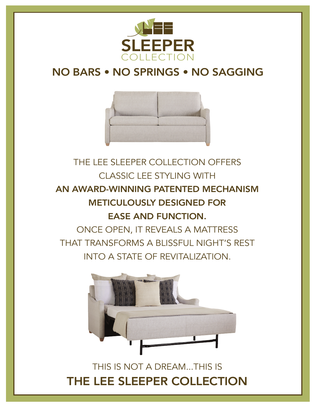

## NO BARS • NO SPRINGS • NO SAGGING



## THE LEE SLEEPER COLLECTION OFFERS CLASSIC LEE STYLING WITH AN AWARD-WINNING PATENTED MECHANISM METICULOUSLY DESIGNED FOR EASE AND FUNCTION. ONCE OPEN, IT REVEALS A MATTRESS THAT TRANSFORMS A BLISSFUL NIGHT'S REST INTO A STATE OF REVITALIZATION.



THIS IS NOT A DREAM...THIS IS THE LEE SLEEPER COLLECTION